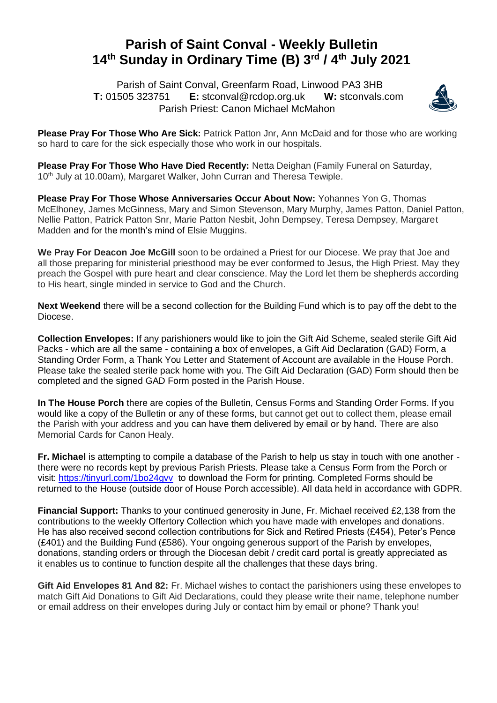## **Parish of Saint Conval - Weekly Bulletin 14 th Sunday in Ordinary Time (B) 3 rd / 4th July 2021**

 Parish of Saint Conval, Greenfarm Road, Linwood PA3 3HB **T:** 01505 323751 **E:** [stconval@rcdop.org.uk](mailto:stconval@rcdop.org.uk) **W:** stconvals.com Parish Priest: Canon Michael McMahon



**Please Pray For Those Who Are Sick:** Patrick Patton Jnr, Ann McDaid and for those who are working so hard to care for the sick especially those who work in our hospitals.

**Please Pray For Those Who Have Died Recently:** Netta Deighan (Family Funeral on Saturday, 10<sup>th</sup> July at 10.00am), Margaret Walker, John Curran and Theresa Tewiple.

**Please Pray For Those Whose Anniversaries Occur About Now:** Yohannes Yon G, Thomas McElhoney, James McGinness, Mary and Simon Stevenson, Mary Murphy, James Patton, Daniel Patton, Nellie Patton, Patrick Patton Snr, Marie Patton Nesbit, John Dempsey, Teresa Dempsey, Margaret Madden and for the month's mind of Elsie Muggins.

**We Pray For Deacon Joe McGill** soon to be ordained a Priest for our Diocese. We pray that Joe and all those preparing for ministerial priesthood may be ever conformed to Jesus, the High Priest. May they preach the Gospel with pure heart and clear conscience. May the Lord let them be shepherds according to His heart, single minded in service to God and the Church.

**Next Weekend** there will be a second collection for the Building Fund which is to pay off the debt to the Diocese.

**Collection Envelopes:** If any parishioners would like to join the Gift Aid Scheme, sealed sterile Gift Aid Packs - which are all the same - containing a box of envelopes, a Gift Aid Declaration (GAD) Form, a Standing Order Form, a Thank You Letter and Statement of Account are available in the House Porch. Please take the sealed sterile pack home with you. The Gift Aid Declaration (GAD) Form should then be completed and the signed GAD Form posted in the Parish House.

**In The House Porch** there are copies of the Bulletin, Census Forms and Standing Order Forms. If you would like a copy of the Bulletin or any of these forms, but cannot get out to collect them, please email the Parish with your address and you can have them delivered by email or by hand. There are also Memorial Cards for Canon Healy.

**Fr. Michael** is attempting to compile a database of the Parish to help us stay in touch with one another there were no records kept by previous Parish Priests. Please take a Census Form from the Porch or visit:<https://tinyurl.com/1bo24gvv>to download the Form for printing. Completed Forms should be returned to the House (outside door of House Porch accessible). All data held in accordance with GDPR.

**Financial Support:** Thanks to your continued generosity in June, Fr. Michael received £2,138 from the contributions to the weekly Offertory Collection which you have made with envelopes and donations. He has also received second collection contributions for Sick and Retired Priests (£454), Peter's Pence (£401) and the Building Fund (£586). Your ongoing generous support of the Parish by envelopes, donations, standing orders or through the Diocesan debit / credit card portal is greatly appreciated as it enables us to continue to function despite all the challenges that these days bring.

**Gift Aid Envelopes 81 And 82:** Fr. Michael wishes to contact the parishioners using these envelopes to match Gift Aid Donations to Gift Aid Declarations, could they please write their name, telephone number or email address on their envelopes during July or contact him by email or phone? Thank you!